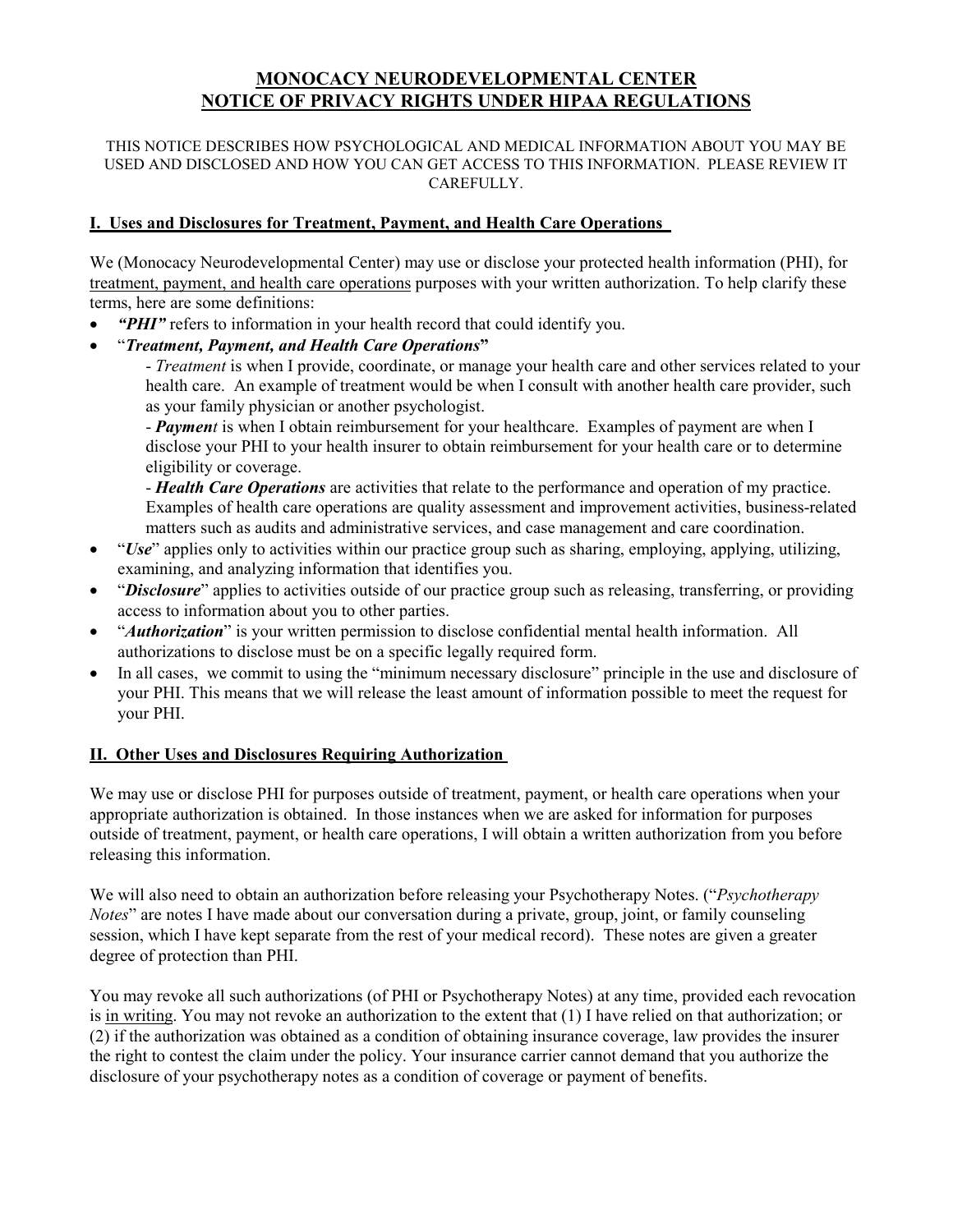# **MONOCACY NEURODEVELOPMENTAL CENTER NOTICE OF PRIVACY RIGHTS UNDER HIPAA REGULATIONS**

#### THIS NOTICE DESCRIBES HOW PSYCHOLOGICAL AND MEDICAL INFORMATION ABOUT YOU MAY BE USED AND DISCLOSED AND HOW YOU CAN GET ACCESS TO THIS INFORMATION. PLEASE REVIEW IT CAREFULLY.

# **I. Uses and Disclosures for Treatment, Payment, and Health Care Operations**

We (Monocacy Neurodevelopmental Center) may use or disclose your protected health information (PHI), for treatment, payment, and health care operations purposes with your written authorization. To help clarify these terms, here are some definitions:

- "PHI" refers to information in your health record that could identify you.
- "*Treatment, Payment, and Health Care Operations***"**

- *Treatment* is when I provide, coordinate, or manage your health care and other services related to your health care. An example of treatment would be when I consult with another health care provider, such as your family physician or another psychologist.

- *Payment* is when I obtain reimbursement for your healthcare. Examples of payment are when I disclose your PHI to your health insurer to obtain reimbursement for your health care or to determine eligibility or coverage.

- *Health Care Operations* are activities that relate to the performance and operation of my practice. Examples of health care operations are quality assessment and improvement activities, business-related matters such as audits and administrative services, and case management and care coordination.

- "*Use*" applies only to activities within our practice group such as sharing, employing, applying, utilizing, examining, and analyzing information that identifies you.
- "*Disclosure*" applies to activities outside of our practice group such as releasing, transferring, or providing access to information about you to other parties.
- "*Authorization*" is your written permission to disclose confidential mental health information. All authorizations to disclose must be on a specific legally required form.
- In all cases, we commit to using the "minimum necessary disclosure" principle in the use and disclosure of your PHI. This means that we will release the least amount of information possible to meet the request for your PHI.

# **II. Other Uses and Disclosures Requiring Authorization**

We may use or disclose PHI for purposes outside of treatment, payment, or health care operations when your appropriate authorization is obtained. In those instances when we are asked for information for purposes outside of treatment, payment, or health care operations, I will obtain a written authorization from you before releasing this information.

We will also need to obtain an authorization before releasing your Psychotherapy Notes. ("*Psychotherapy Notes*" are notes I have made about our conversation during a private, group, joint, or family counseling session, which I have kept separate from the rest of your medical record). These notes are given a greater degree of protection than PHI.

You may revoke all such authorizations (of PHI or Psychotherapy Notes) at any time, provided each revocation is in writing. You may not revoke an authorization to the extent that (1) I have relied on that authorization; or (2) if the authorization was obtained as a condition of obtaining insurance coverage, law provides the insurer the right to contest the claim under the policy. Your insurance carrier cannot demand that you authorize the disclosure of your psychotherapy notes as a condition of coverage or payment of benefits.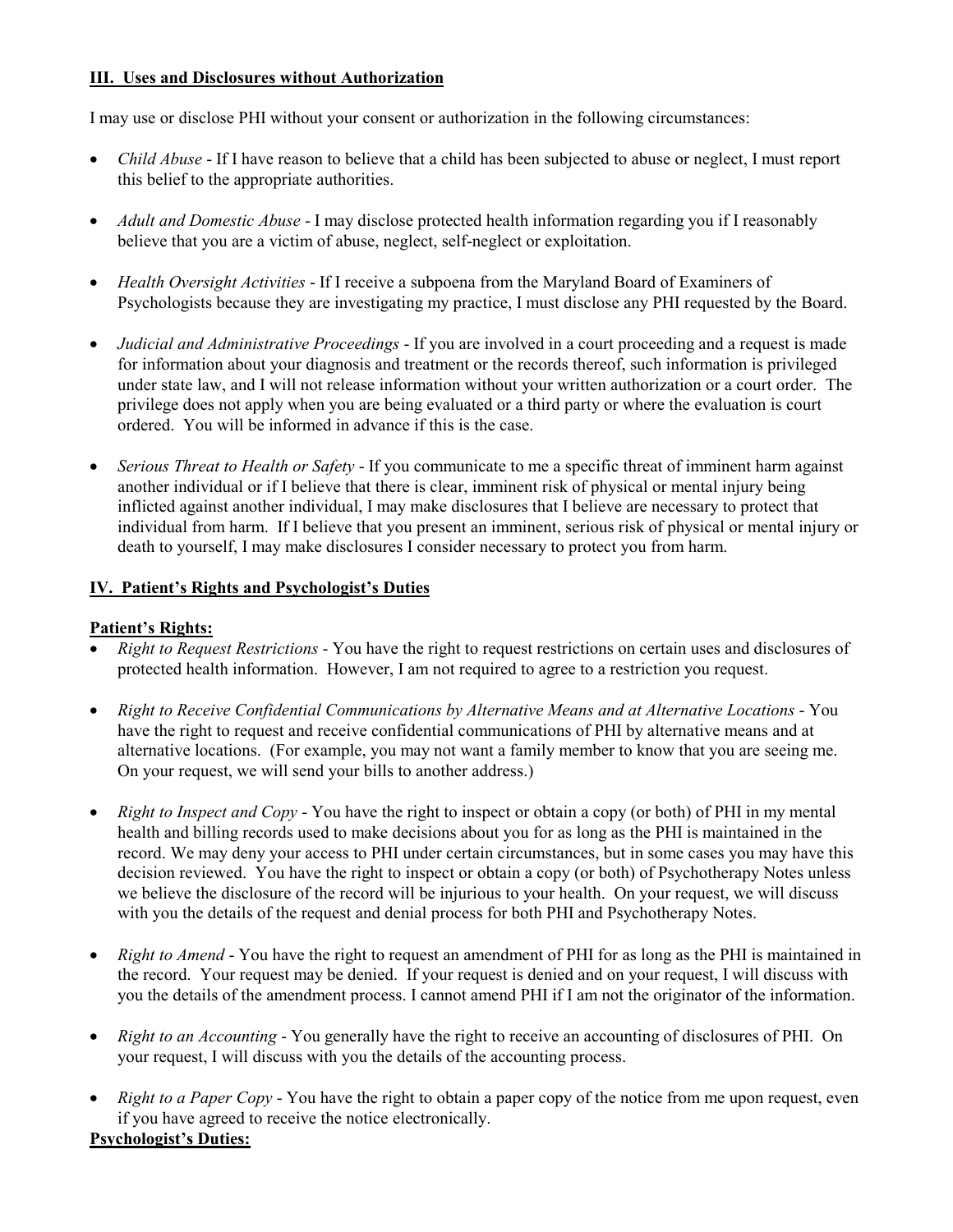# **III. Uses and Disclosures without Authorization**

I may use or disclose PHI without your consent or authorization in the following circumstances:

- *Child Abuse* If I have reason to believe that a child has been subjected to abuse or neglect, I must report this belief to the appropriate authorities.
- *Adult and Domestic Abuse* I may disclose protected health information regarding you if I reasonably believe that you are a victim of abuse, neglect, self-neglect or exploitation.
- *Health Oversight Activities* If I receive a subpoena from the Maryland Board of Examiners of Psychologists because they are investigating my practice, I must disclose any PHI requested by the Board.
- *Judicial and Administrative Proceedings* If you are involved in a court proceeding and a request is made for information about your diagnosis and treatment or the records thereof, such information is privileged under state law, and I will not release information without your written authorization or a court order. The privilege does not apply when you are being evaluated or a third party or where the evaluation is court ordered. You will be informed in advance if this is the case.
- *Serious Threat to Health or Safety* If you communicate to me a specific threat of imminent harm against another individual or if I believe that there is clear, imminent risk of physical or mental injury being inflicted against another individual, I may make disclosures that I believe are necessary to protect that individual from harm. If I believe that you present an imminent, serious risk of physical or mental injury or death to yourself, I may make disclosures I consider necessary to protect you from harm.

# **IV. Patient's Rights and Psychologist's Duties**

# **Patient's Rights:**

- *Right to Request Restrictions*  You have the right to request restrictions on certain uses and disclosures of protected health information. However, I am not required to agree to a restriction you request.
- *Right to Receive Confidential Communications by Alternative Means and at Alternative Locations*  You have the right to request and receive confidential communications of PHI by alternative means and at alternative locations. (For example, you may not want a family member to know that you are seeing me. On your request, we will send your bills to another address.)
- *Right to Inspect and Copy*  You have the right to inspect or obtain a copy (or both) of PHI in my mental health and billing records used to make decisions about you for as long as the PHI is maintained in the record. We may deny your access to PHI under certain circumstances, but in some cases you may have this decision reviewed. You have the right to inspect or obtain a copy (or both) of Psychotherapy Notes unless we believe the disclosure of the record will be injurious to your health. On your request, we will discuss with you the details of the request and denial process for both PHI and Psychotherapy Notes.
- *Right to Amend* You have the right to request an amendment of PHI for as long as the PHI is maintained in the record. Your request may be denied. If your request is denied and on your request, I will discuss with you the details of the amendment process. I cannot amend PHI if I am not the originator of the information.
- *Right to an Accounting* You generally have the right to receive an accounting of disclosures of PHI. On your request, I will discuss with you the details of the accounting process.
- *Right to a Paper Copy*  You have the right to obtain a paper copy of the notice from me upon request, even if you have agreed to receive the notice electronically. **Psychologist's Duties:**